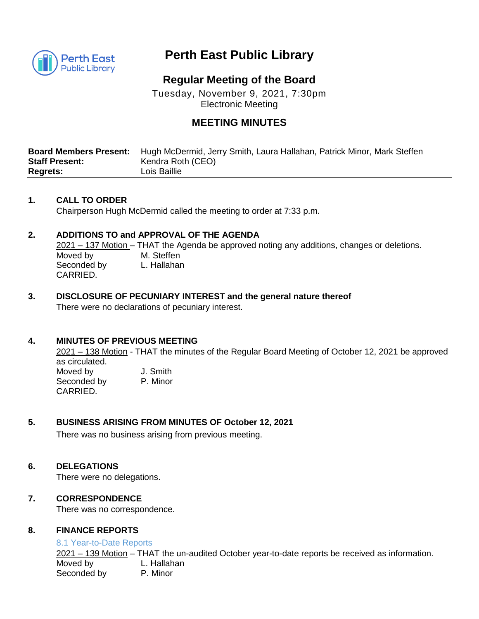

# **Perth East Public Library**

## **Regular Meeting of the Board**

Tuesday, November 9, 2021, 7:30pm Electronic Meeting

## **MEETING MINUTES**

| <b>Board Members Present:</b> | Hugh McDermid, Jerry Smith, Laura Hallahan, Patrick Minor, Mark Steffen |
|-------------------------------|-------------------------------------------------------------------------|
| <b>Staff Present:</b>         | Kendra Roth (CEO)                                                       |
| <b>Regrets:</b>               | Lois Baillie                                                            |

#### **1. CALL TO ORDER**

Chairperson Hugh McDermid called the meeting to order at 7:33 p.m.

### **2. ADDITIONS TO and APPROVAL OF THE AGENDA**

2021 – 137 Motion – THAT the Agenda be approved noting any additions, changes or deletions. Moved by M. Steffen Seconded by L. Hallahan CARRIED.

#### **3. DISCLOSURE OF PECUNIARY INTEREST and the general nature thereof** There were no declarations of pecuniary interest.

## **4. MINUTES OF PREVIOUS MEETING**

2021 – 138 Motion - THAT the minutes of the Regular Board Meeting of October 12, 2021 be approved as circulated. Moved by **J. Smith** 

Seconded by P. Minor CARRIED.

#### **5. BUSINESS ARISING FROM MINUTES OF October 12, 2021**

There was no business arising from previous meeting.

#### **6. DELEGATIONS**

There were no delegations.

#### **7. CORRESPONDENCE**

There was no correspondence.

#### **8. FINANCE REPORTS**

#### 8.1 Year-to-Date Reports

2021 – 139 Motion – THAT the un-audited October year-to-date reports be received as information. Moved by L. Hallahan Seconded by P. Minor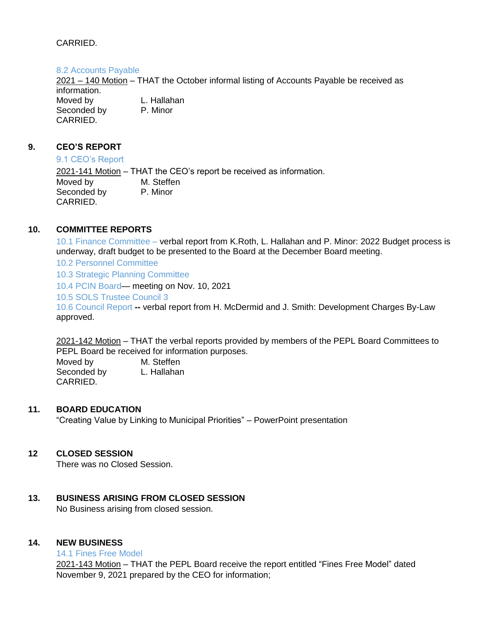## CARRIED.

#### 8.2 Accounts Payable

2021 – 140 Motion – THAT the October informal listing of Accounts Payable be received as information. Moved by L. Hallahan Seconded by P. Minor CARRIED.

## **9. CEO'S REPORT**

#### 9.1 CEO's Report

2021-141 Motion – THAT the CEO's report be received as information. Moved by M. Steffen Seconded by P. Minor CARRIED.

## **10. COMMITTEE REPORTS**

10.1 Finance Committee – verbal report from K.Roth, L. Hallahan and P. Minor: 2022 Budget process is underway, draft budget to be presented to the Board at the December Board meeting.

10.2 Personnel Committee

10.3 Strategic Planning Committee

10.4 PCIN Board— meeting on Nov. 10, 2021

10.5 SOLS Trustee Council 3

10.6 Council Report **--** verbal report from H. McDermid and J. Smith: Development Charges By-Law approved.

2021-142 Motion – THAT the verbal reports provided by members of the PEPL Board Committees to PEPL Board be received for information purposes.

Moved by M. Steffen Seconded by L. Hallahan CARRIED.

### **11. BOARD EDUCATION**

"Creating Value by Linking to Municipal Priorities" – PowerPoint presentation

#### **12 CLOSED SESSION**

There was no Closed Session.

#### **13. BUSINESS ARISING FROM CLOSED SESSION**

No Business arising from closed session.

#### **14. NEW BUSINESS**

14.1 Fines Free Model

2021-143 Motion – THAT the PEPL Board receive the report entitled "Fines Free Model" dated November 9, 2021 prepared by the CEO for information;